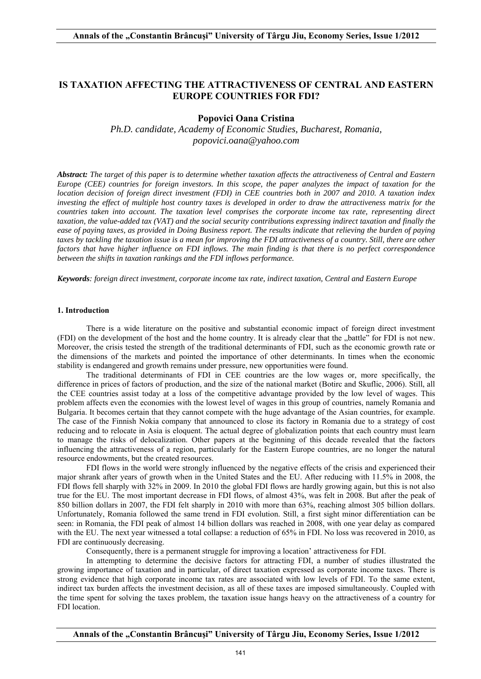# **IS TAXATION AFFECTING THE ATTRACTIVENESS OF CENTRAL AND EASTERN EUROPE COUNTRIES FOR FDI?**

# **Popovici Oana Cristina**

*Ph.D. candidate, Academy of Economic Studies, Bucharest, Romania, popovici.oana@yahoo.com*

*Abstract: The target of this paper is to determine whether taxation affects the attractiveness of Central and Eastern Europe (CEE) countries for foreign investors. In this scope, the paper analyzes the impact of taxation for the location decision of foreign direct investment (FDI) in CEE countries both in 2007 and 2010. A taxation index investing the effect of multiple host country taxes is developed in order to draw the attractiveness matrix for the countries taken into account. The taxation level comprises the corporate income tax rate, representing direct taxation, the value-added tax (VAT) and the social security contributions expressing indirect taxation and finally the ease of paying taxes, as provided in Doing Business report. The results indicate that relieving the burden of paying taxes by tackling the taxation issue is a mean for improving the FDI attractiveness of a country. Still, there are other factors that have higher influence on FDI inflows. The main finding is that there is no perfect correspondence between the shifts in taxation rankings and the FDI inflows performance.* 

*Keywords: foreign direct investment, corporate income tax rate, indirect taxation, Central and Eastern Europe* 

### **1. Introduction**

 There is a wide literature on the positive and substantial economic impact of foreign direct investment (FDI) on the development of the host and the home country. It is already clear that the "battle" for FDI is not new. Moreover, the crisis tested the strength of the traditional determinants of FDI, such as the economic growth rate or the dimensions of the markets and pointed the importance of other determinants. In times when the economic stability is endangered and growth remains under pressure, new opportunities were found.

 The traditional determinants of FDI in CEE countries are the low wages or, more specifically, the difference in prices of factors of production, and the size of the national market (Botirc and Skuflic, 2006). Still, all the CEE countries assist today at a loss of the competitive advantage provided by the low level of wages. This problem affects even the economies with the lowest level of wages in this group of countries, namely Romania and Bulgaria. It becomes certain that they cannot compete with the huge advantage of the Asian countries, for example. The case of the Finnish Nokia company that announced to close its factory in Romania due to a strategy of cost reducing and to relocate in Asia is eloquent. The actual degree of globalization points that each country must learn to manage the risks of delocalization. Other papers at the beginning of this decade revealed that the factors influencing the attractiveness of a region, particularly for the Eastern Europe countries, are no longer the natural resource endowments, but the created resources.

 FDI flows in the world were strongly influenced by the negative effects of the crisis and experienced their major shrank after years of growth when in the United States and the EU. After reducing with 11.5% in 2008, the FDI flows fell sharply with 32% in 2009. In 2010 the global FDI flows are hardly growing again, but this is not also true for the EU. The most important decrease in FDI flows, of almost 43%, was felt in 2008. But after the peak of 850 billion dollars in 2007, the FDI felt sharply in 2010 with more than 63%, reaching almost 305 billion dollars. Unfortunately, Romania followed the same trend in FDI evolution. Still, a first sight minor differentiation can be seen: in Romania, the FDI peak of almost 14 billion dollars was reached in 2008, with one year delay as compared with the EU. The next year witnessed a total collapse: a reduction of 65% in FDI. No loss was recovered in 2010, as FDI are continuously decreasing.

Consequently, there is a permanent struggle for improving a location' attractiveness for FDI.

 In attempting to determine the decisive factors for attracting FDI, a number of studies illustrated the growing importance of taxation and in particular, of direct taxation expressed as corporate income taxes. There is strong evidence that high corporate income tax rates are associated with low levels of FDI. To the same extent, indirect tax burden affects the investment decision, as all of these taxes are imposed simultaneously. Coupled with the time spent for solving the taxes problem, the taxation issue hangs heavy on the attractiveness of a country for FDI location.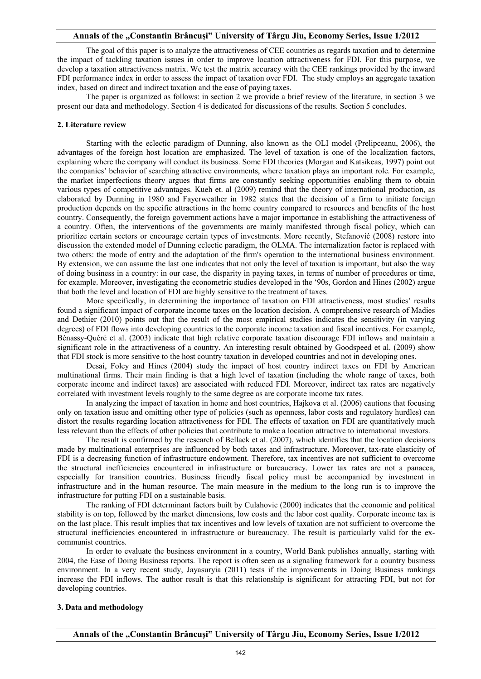The goal of this paper is to analyze the attractiveness of CEE countries as regards taxation and to determine the impact of tackling taxation issues in order to improve location attractiveness for FDI. For this purpose, we develop a taxation attractiveness matrix. We test the matrix accuracy with the CEE rankings provided by the inward FDI performance index in order to assess the impact of taxation over FDI. The study employs an aggregate taxation index, based on direct and indirect taxation and the ease of paying taxes.

 The paper is organized as follows: in section 2 we provide a brief review of the literature, in section 3 we present our data and methodology. Section 4 is dedicated for discussions of the results. Section 5 concludes.

#### **2. Literature review**

 Starting with the eclectic paradigm of Dunning, also known as the OLI model (Prelipceanu, 2006), the advantages of the foreign host location are emphasized. The level of taxation is one of the localization factors, explaining where the company will conduct its business. Some FDI theories (Morgan and Katsikeas, 1997) point out the companies' behavior of searching attractive environments, where taxation plays an important role. For example, the market imperfections theory argues that firms are constantly seeking opportunities enabling them to obtain various types of competitive advantages. Kueh et. al (2009) remind that the theory of international production, as elaborated by Dunning in 1980 and Fayerweather in 1982 states that the decision of a firm to initiate foreign production depends on the specific attractions in the home country compared to resources and benefits of the host country. Consequently, the foreign government actions have a major importance in establishing the attractiveness of a country. Often, the interventions of the governments are mainly manifested through fiscal policy, which can prioritize certain sectors or encourage certain types of investments. More recently, Stefanović (2008) restore into discussion the extended model of Dunning eclectic paradigm, the OLMA. The internalization factor is replaced with two others: the mode of entry and the adaptation of the firm's operation to the international business environment. By extension, we can assume the last one indicates that not only the level of taxation is important, but also the way of doing business in a country: in our case, the disparity in paying taxes, in terms of number of procedures or time, for example. Moreover, investigating the econometric studies developed in the '90s, Gordon and Hines (2002) argue that both the level and location of FDI are highly sensitive to the treatment of taxes.

 More specifically, in determining the importance of taxation on FDI attractiveness, most studies' results found a significant impact of corporate income taxes on the location decision. A comprehensive research of Madies and Dethier (2010) points out that the result of the most empirical studies indicates the sensitivity (in varying degrees) of FDI flows into developing countries to the corporate income taxation and fiscal incentives. For example, Bénassy-Quéré et al. (2003) indicate that high relative corporate taxation discourage FDI inflows and maintain a significant role in the attractiveness of a country. An interesting result obtained by Goodspeed et al. (2009) show that FDI stock is more sensitive to the host country taxation in developed countries and not in developing ones.

 Desai, Foley and Hines (2004) study the impact of host country indirect taxes on FDI by American multinational firms. Their main finding is that a high level of taxation (including the whole range of taxes, both corporate income and indirect taxes) are associated with reduced FDI. Moreover, indirect tax rates are negatively correlated with investment levels roughly to the same degree as are corporate income tax rates.

 In analyzing the impact of taxation in home and host countries, Hajkova et al. (2006) cautions that focusing only on taxation issue and omitting other type of policies (such as openness, labor costs and regulatory hurdles) can distort the results regarding location attractiveness for FDI. The effects of taxation on FDI are quantitatively much less relevant than the effects of other policies that contribute to make a location attractive to international investors.

The result is confirmed by the research of Bellack et al. (2007), which identifies that the location decisions made by multinational enterprises are influenced by both taxes and infrastructure. Moreover, tax-rate elasticity of FDI is a decreasing function of infrastructure endowment. Therefore, tax incentives are not sufficient to overcome the structural inefficiencies encountered in infrastructure or bureaucracy. Lower tax rates are not a panacea, especially for transition countries. Business friendly fiscal policy must be accompanied by investment in infrastructure and in the human resource. The main measure in the medium to the long run is to improve the infrastructure for putting FDI on a sustainable basis.

 The ranking of FDI determinant factors built by Culahovic (2000) indicates that the economic and political stability is on top, followed by the market dimensions, low costs and the labor cost quality. Corporate income tax is on the last place. This result implies that tax incentives and low levels of taxation are not sufficient to overcome the structural inefficiencies encountered in infrastructure or bureaucracy. The result is particularly valid for the excommunist countries.

 In order to evaluate the business environment in a country, World Bank publishes annually, starting with 2004, the Ease of Doing Business reports. The report is often seen as a signaling framework for a country business environment. In a very recent study, Jayasuryia (2011) tests if the improvements in Doing Business rankings increase the FDI inflows. The author result is that this relationship is significant for attracting FDI, but not for developing countries.

### **3. Data and methodology**

**Annals of the "Constantin Brâncuşi" University of Târgu Jiu, Economy Series, Issue 1/2012**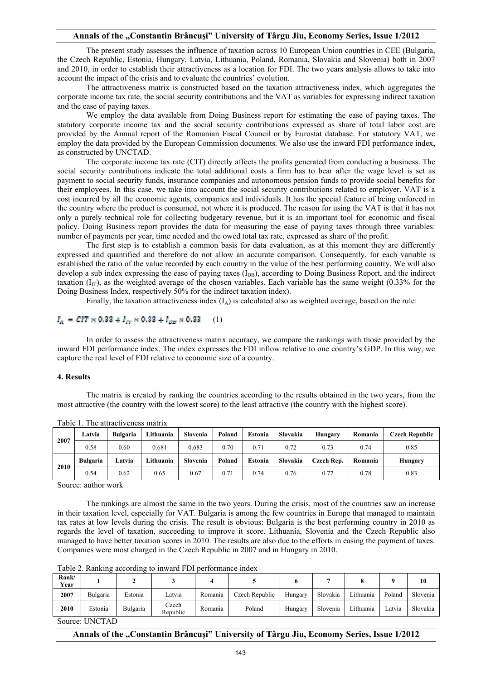The present study assesses the influence of taxation across 10 European Union countries in CEE (Bulgaria, the Czech Republic, Estonia, Hungary, Latvia, Lithuania, Poland, Romania, Slovakia and Slovenia) both in 2007 and 2010, in order to establish their attractiveness as a location for FDI. The two years analysis allows to take into account the impact of the crisis and to evaluate the countries' evolution.

 The attractiveness matrix is constructed based on the taxation attractiveness index, which aggregates the corporate income tax rate, the social security contributions and the VAT as variables for expressing indirect taxation and the ease of paying taxes.

 We employ the data available from Doing Business report for estimating the ease of paying taxes. The statutory corporate income tax and the social security contributions expressed as share of total labor cost are provided by the Annual report of the Romanian Fiscal Council or by Eurostat database. For statutory VAT, we employ the data provided by the European Commission documents. We also use the inward FDI performance index, as constructed by UNCTAD.

 The corporate income tax rate (CIT) directly affects the profits generated from conducting a business. The social security contributions indicate the total additional costs a firm has to bear after the wage level is set as payment to social security funds, insurance companies and autonomous pension funds to provide social benefits for their employees. In this case, we take into account the social security contributions related to employer. VAT is a cost incurred by all the economic agents, companies and individuals. It has the special feature of being enforced in the country where the product is consumed, not where it is produced. The reason for using the VAT is that it has not only a purely technical role for collecting budgetary revenue, but it is an important tool for economic and fiscal policy. Doing Business report provides the data for measuring the ease of paying taxes through three variables: number of payments per year, time needed and the owed total tax rate, expressed as share of the profit.

 The first step is to establish a common basis for data evaluation, as at this moment they are differently expressed and quantified and therefore do not allow an accurate comparison. Consequently, for each variable is established the ratio of the value recorded by each country in the value of the best performing country. We will also develop a sub index expressing the ease of paying taxes  $(I_{DR})$ , according to Doing Business Report, and the indirect taxation  $(I_{IT})$ , as the weighted average of the chosen variables. Each variable has the same weight (0.33% for the Doing Business Index, respectively 50% for the indirect taxation index).

Finally, the taxation attractiveness index  $(I_A)$  is calculated also as weighted average, based on the rule:

### $I_{\alpha} = CIT \times 0.32 + I_{cr} \times 0.32 + I_{qq} \times 0.33$  (1)

 In order to assess the attractiveness matrix accuracy, we compare the rankings with those provided by the inward FDI performance index. The index expresses the FDI inflow relative to one country's GDP. In this way, we capture the real level of FDI relative to economic size of a country.

#### **4. Results**

 The matrix is created by ranking the countries according to the results obtained in the two years, from the most attractive (the country with the lowest score) to the least attractive (the country with the highest score).

| 2007 | Latvia          | <b>Bulgaria</b> | Lithuania | Slovenia | Poland | Estonia | Slovakia | Hungary    | Romania | Czech Republic |  |
|------|-----------------|-----------------|-----------|----------|--------|---------|----------|------------|---------|----------------|--|
|      | 0.58            | 0.60            | 0.681     | 0.683    | 0.70   | 0.71    | 0.72     | 0.73       | 0.74    | 0.85           |  |
| 2010 | <b>Bulgaria</b> | Latvia          | Lithuania | Slovenia | Poland | Estonia | Slovakia | Czech Rep. | Romania | Hungary        |  |
|      | 0.54            | 0.62            | 0.65      | 0.67     | 0.71   | 0.74    | 0.76     | 0.77       | 0.78    | 0.83           |  |

Table 1. The attractiveness matrix

Source: author work

 The rankings are almost the same in the two years. During the crisis, most of the countries saw an increase in their taxation level, especially for VAT. Bulgaria is among the few countries in Europe that managed to maintain tax rates at low levels during the crisis. The result is obvious: Bulgaria is the best performing country in 2010 as regards the level of taxation, succeeding to improve it score. Lithuania, Slovenia and the Czech Republic also managed to have better taxation scores in 2010. The results are also due to the efforts in easing the payment of taxes. Companies were most charged in the Czech Republic in 2007 and in Hungary in 2010.

Table 2. Ranking according to inward FDI performance index

| Rank/<br>Year  |          |          |                   |         |                |         |          |           | Q      | 10       |
|----------------|----------|----------|-------------------|---------|----------------|---------|----------|-----------|--------|----------|
| 2007           | Bulgaria | Estonia  | Latvia            | Romania | Czech Republic | Hungary | Slovakia | Lithuania | Poland | Slovenia |
| 2010           | Estonia  | Bulgaria | Czech<br>Republic | Romania | Poland         | Hungary | Slovenia | Lithuania | Latvia | Slovakia |
| Source: UNCTAD |          |          |                   |         |                |         |          |           |        |          |

## **Annals of the "Constantin Brâncuşi" University of Târgu Jiu, Economy Series, Issue 1/2012**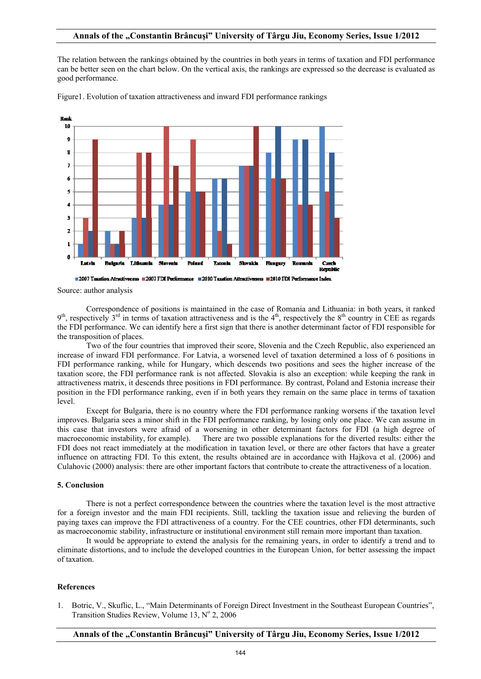The relation between the rankings obtained by the countries in both years in terms of taxation and FDI performance can be better seen on the chart below. On the vertical axis, the rankings are expressed so the decrease is evaluated as good performance.



Figure1. Evolution of taxation attractiveness and inward FDI performance rankings

Source: author analysis

 Correspondence of positions is maintained in the case of Romania and Lithuania: in both years, it ranked  $9<sup>th</sup>$ , respectively  $3<sup>rd</sup>$  in terms of taxation attractiveness and is the  $4<sup>th</sup>$ , respectively the  $8<sup>th</sup>$  country in CEE as regards the FDI performance. We can identify here a first sign that there is another determinant factor of FDI responsible for the transposition of places.

 Two of the four countries that improved their score, Slovenia and the Czech Republic, also experienced an increase of inward FDI performance. For Latvia, a worsened level of taxation determined a loss of 6 positions in FDI performance ranking, while for Hungary, which descends two positions and sees the higher increase of the taxation score, the FDI performance rank is not affected. Slovakia is also an exception: while keeping the rank in attractiveness matrix, it descends three positions in FDI performance. By contrast, Poland and Estonia increase their position in the FDI performance ranking, even if in both years they remain on the same place in terms of taxation level.

 Except for Bulgaria, there is no country where the FDI performance ranking worsens if the taxation level improves. Bulgaria sees a minor shift in the FDI performance ranking, by losing only one place. We can assume in this case that investors were afraid of a worsening in other determinant factors for FDI (a high degree of macroeconomic instability, for example). There are two possible explanations for the diverted results: either the FDI does not react immediately at the modification in taxation level, or there are other factors that have a greater influence on attracting FDI. To this extent, the results obtained are in accordance with Hajkova et al. (2006) and Culahovic (2000) analysis: there are other important factors that contribute to create the attractiveness of a location.

### **5. Conclusion**

 There is not a perfect correspondence between the countries where the taxation level is the most attractive for a foreign investor and the main FDI recipients. Still, tackling the taxation issue and relieving the burden of paying taxes can improve the FDI attractiveness of a country. For the CEE countries, other FDI determinants, such as macroeconomic stability, infrastructure or institutional environment still remain more important than taxation.

 It would be appropriate to extend the analysis for the remaining years, in order to identify a trend and to eliminate distortions, and to include the developed countries in the European Union, for better assessing the impact of taxation.

#### **References**

1. Botric, V., Skuflic, L., "Main Determinants of Foreign Direct Investment in the Southeast European Countries", Transition Studies Review, Volume  $13$ , N° 2, 2006